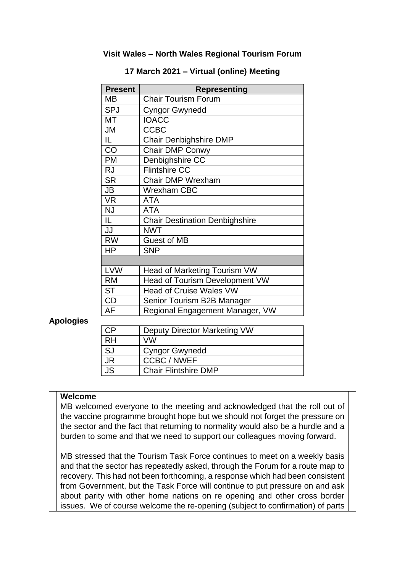### **Visit Wales – North Wales Regional Tourism Forum**

| <b>Present</b> | <b>Representing</b>                   |
|----------------|---------------------------------------|
| MВ             | <b>Chair Tourism Forum</b>            |
| <b>SPJ</b>     | <b>Cyngor Gwynedd</b>                 |
| МT             | <b>IOACC</b>                          |
| JM             | <b>CCBC</b>                           |
| IL.            | Chair Denbighshire DMP                |
| CO             | Chair DMP Conwy                       |
| <b>PM</b>      | Denbighshire CC                       |
| <b>RJ</b>      | <b>Flintshire CC</b>                  |
| <b>SR</b>      | <b>Chair DMP Wrexham</b>              |
| JB             | <b>Wrexham CBC</b>                    |
| <b>VR</b>      | <b>ATA</b>                            |
| <b>NJ</b>      | <b>ATA</b>                            |
| IL             | <b>Chair Destination Denbighshire</b> |
| JJ             | <b>NWT</b>                            |
| <b>RW</b>      | <b>Guest of MB</b>                    |
| <b>HP</b>      | <b>SNP</b>                            |
|                |                                       |
| <b>LVW</b>     | Head of Marketing Tourism VW          |
| <b>RM</b>      | <b>Head of Tourism Development VW</b> |
| <b>ST</b>      | <b>Head of Cruise Wales VW</b>        |
| <b>CD</b>      | Senior Tourism B2B Manager            |
| AF             | Regional Engagement Manager, VW       |

#### **17 March 2021 – Virtual (online) Meeting**

#### **Apologies**

| CP        | Deputy Director Marketing VW |
|-----------|------------------------------|
| $R$ H     | VW                           |
| <b>SJ</b> | <b>Cyngor Gwynedd</b>        |
| JR        | <b>CCBC/NWEF</b>             |
| <b>JS</b> | <b>Chair Flintshire DMP</b>  |

#### **Welcome**

MB welcomed everyone to the meeting and acknowledged that the roll out of the vaccine programme brought hope but we should not forget the pressure on the sector and the fact that returning to normality would also be a hurdle and a burden to some and that we need to support our colleagues moving forward.

MB stressed that the Tourism Task Force continues to meet on a weekly basis and that the sector has repeatedly asked, through the Forum for a route map to recovery. This had not been forthcoming, a response which had been consistent from Government, but the Task Force will continue to put pressure on and ask about parity with other home nations on re opening and other cross border issues. We of course welcome the re-opening (subject to confirmation) of parts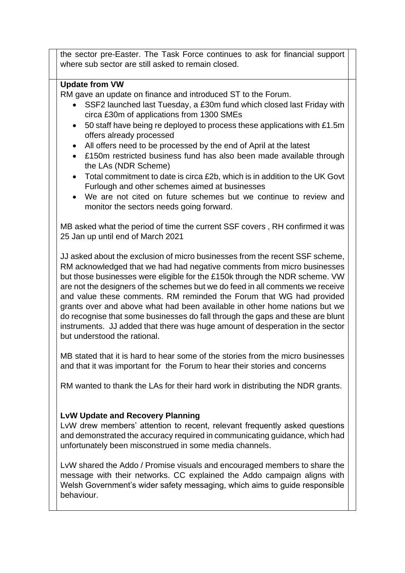the sector pre-Easter. The Task Force continues to ask for financial support where sub sector are still asked to remain closed.

## **Update from VW**

RM gave an update on finance and introduced ST to the Forum.

- SSF2 launched last Tuesday, a £30m fund which closed last Friday with circa £30m of applications from 1300 SMEs
- 50 staff have being re deployed to process these applications with £1.5m offers already processed
- All offers need to be processed by the end of April at the latest
- £150m restricted business fund has also been made available through the LAs (NDR Scheme)
- Total commitment to date is circa £2b, which is in addition to the UK Govt Furlough and other schemes aimed at businesses
- We are not cited on future schemes but we continue to review and monitor the sectors needs going forward.

MB asked what the period of time the current SSF covers , RH confirmed it was 25 Jan up until end of March 2021

JJ asked about the exclusion of micro businesses from the recent SSF scheme, RM acknowledged that we had had negative comments from micro businesses but those businesses were eligible for the £150k through the NDR scheme. VW are not the designers of the schemes but we do feed in all comments we receive and value these comments. RM reminded the Forum that WG had provided grants over and above what had been available in other home nations but we do recognise that some businesses do fall through the gaps and these are blunt instruments. JJ added that there was huge amount of desperation in the sector but understood the rational.

MB stated that it is hard to hear some of the stories from the micro businesses and that it was important for the Forum to hear their stories and concerns

RM wanted to thank the LAs for their hard work in distributing the NDR grants.

# **LvW Update and Recovery Planning**

LvW drew members' attention to recent, relevant frequently asked questions and demonstrated the accuracy required in communicating guidance, which had unfortunately been misconstrued in some media channels.

LvW shared the Addo / Promise visuals and encouraged members to share the message with their networks. CC explained the Addo campaign aligns with Welsh Government's wider safety messaging, which aims to guide responsible behaviour.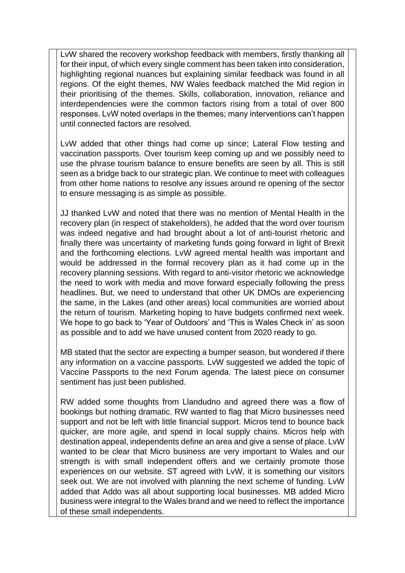LvW shared the recovery workshop feedback with members, firstly thanking all for their input, of which every single comment has been taken into consideration, highlighting regional nuances but explaining similar feedback was found in all regions. Of the eight themes, NW Wales feedback matched the Mid region in their prioritising of the themes. Skills, collaboration, innovation, reliance and interdependencies were the common factors rising from a total of over 800 responses. LvW noted overlaps in the themes; many interventions can't happen until connected factors are resolved.

LvW added that other things had come up since; Lateral Flow testing and vaccination passports. Over tourism keep coming up and we possibly need to use the phrase tourism balance to ensure benefits are seen by all. This is still seen as a bridge back to our strategic plan. We continue to meet with colleagues from other home nations to resolve any issues around re opening of the sector to ensure messaging is as simple as possible.

JJ thanked LvW and noted that there was no mention of Mental Health in the recovery plan (in respect of stakeholders), he added that the word over tourism was indeed negative and had brought about a lot of anti-tourist rhetoric and finally there was uncertainty of marketing funds going forward in light of Brexit and the forthcoming elections. LvW agreed mental health was important and would be addressed in the formal recovery plan as it had come up in the recovery planning sessions. With regard to anti-visitor rhetoric we acknowledge the need to work with media and move forward especially following the press headlines. But, we need to understand that other UK DMOs are experiencing the same, in the Lakes (and other areas) local communities are worried about the return of tourism. Marketing hoping to have budgets confirmed next week. We hope to go back to 'Year of Outdoors' and 'This is Wales Check in' as soon as possible and to add we have unused content from 2020 ready to go.

MB stated that the sector are expecting a bumper season, but wondered if there any information on a vaccine passports. LvW suggested we added the topic of Vaccine Passports to the next Forum agenda. The latest piece on consumer sentiment has just been published.

RW added some thoughts from Llandudno and agreed there was a flow of bookings but nothing dramatic. RW wanted to flag that Micro businesses need support and not be left with little financial support. Micros tend to bounce back quicker, are more agile, and spend in local supply chains. Micros help with destination appeal, independents define an area and give a sense of place. LvW wanted to be clear that Micro business are very important to Wales and our strength is with small independent offers and we certainly promote those experiences on our website. ST agreed with LvW, it is something our visitors seek out. We are not involved with planning the next scheme of funding. LvW added that Addo was all about supporting local businesses. MB added Micro business were integral to the Wales brand and we need to reflect the importance of these small independents.